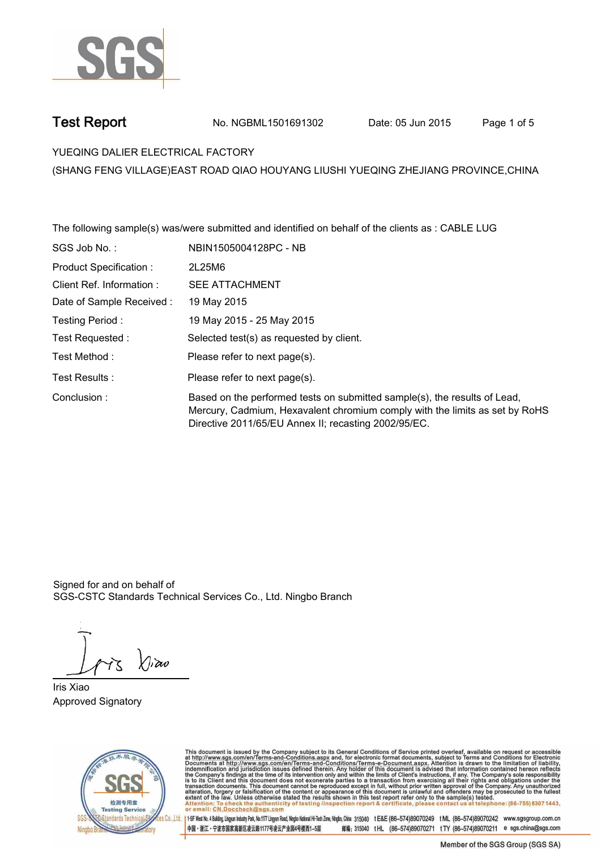

**Test Report. No. NGBML1501691302** Date: 05 Jun 2015 Page 1 of 5

**YUEQING DALIER ELECTRICAL FACTORY.**

**(SHANG FENG VILLAGE)EAST ROAD QIAO HOUYANG LIUSHI YUEQING ZHEJIANG PROVINCE,CHINA**

**The following sample(s) was/were submitted and identified on behalf of the clients as : CABLE LUG. SGS Job No. : NBIN1505004128PC - NB. Product Specification :. 2L25M6. Client Ref. Information :. SEE ATTACHMENT. Date of Sample Received :. 19 May 2015. Testing Period :. 19 May 2015 - 25 May 2015. Test Requested :. Selected test(s) as requested by client.. Please refer to next page(s).. Please refer to next page(s).**<br>Test Results : **Test Results** : **Test Results** : **Test Results** : **Based on the performed tests on submitted sample(s), the results of Lead, Mercury, Cadmium, Hexavalent chromium comply with the limits as set by RoHS**  Conclusion : Based on the performed tests on submitted sample(s), the results<br>Mercury, Cadmium, Hexavalent chromium comply with the limits a<br>Directive 2011/65/EU Annex II; recasting 2002/9

Signed for and on behalf of SGS-CSTC Standards Technical Services Co., Ltd. Ningbo Branch.

**Iris Xiao. Approved Signatory.**



This document is issued by the Company subject to its General Conditions of Service printed overleaf, available on request or accessible at http://www.sgs.com/en/Terms-and-Conditions.aspx and, for electronic format docume

.<br>es Co., Ltd. | 1-5F West No. 4 Bulding, Lingun Industry Park, No.1177 Lingun Read, Ningbo National HFTech Zone, Ningbo, China 315040 tE&E (86-574)89070249 t.M.L. (86-574)89070242 www.sgsgroup.com.cn 中国・浙江・宁波市国家高新区凌云路1177号凌云产业园4号楼西1-5层 邮编: 315040 tHL (86-574)89070271 tTY (86-574)89070211 e sgs.china@sgs.com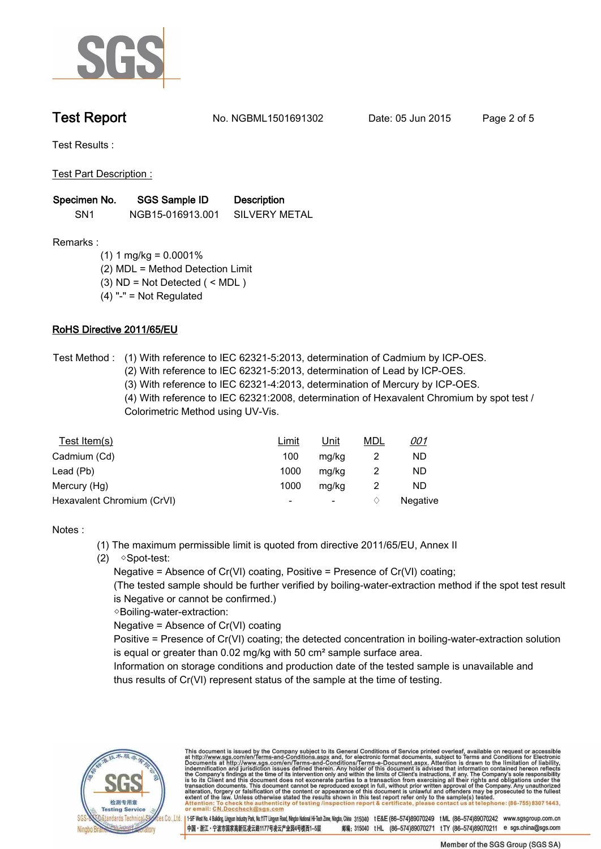

**Test Report. No. NGBML1501691302** Date: 05 Jun 2015 Page 2 of 5

**Test Results :.**

**Test Part Description :.**

| Specimen No.    | <b>SGS Sample ID</b> | <b>Description</b> |
|-----------------|----------------------|--------------------|
| SN <sub>1</sub> | NGB15-016913.001     | SILVERY METAL      |

**Remarks :**

- **(1) 1 mg/kg = 0.0001%**
- **(2) MDL = Method Detection Limit**
- **(3) ND = Not Detected ( < MDL )**
- **(4) "-" = Not Regulated**

### **RoHS Directive 2011/65/EU.**

- **Test Method :. (1) With reference to IEC 62321-5:2013, determination of Cadmium by ICP-OES. (2) With reference to IEC 62321-5:2013, determination of Lead by ICP-OES.**
	- **(3) With reference to IEC 62321-4:2013, determination of Mercury by ICP-OES.**

**(4) With reference to IEC 62321:2008, determination of Hexavalent Chromium by spot test / Colorimetric Method using UV-Vis..**

| Test Item(s)               | <u>Limit</u>             | <u>Unit</u>              | <u>MDL</u> | <u>001</u> |
|----------------------------|--------------------------|--------------------------|------------|------------|
| Cadmium (Cd)               | 100                      | mg/kg                    |            | ND         |
| Lead (Pb)                  | 1000                     | mg/kg                    |            | ND         |
| Mercury (Hg)               | 1000                     | mg/kg                    |            | ND         |
| Hexavalent Chromium (CrVI) | $\overline{\phantom{a}}$ | $\overline{\phantom{a}}$ |            | Negative   |

**Notes :.**

- **(1) The maximum permissible limit is quoted from directive 2011/65/EU, Annex II**
- **(2) ◇Spot-test:**

 **Negative = Absence of Cr(VI) coating, Positive = Presence of Cr(VI) coating;** 

 **(The tested sample should be further verified by boiling-water-extraction method if the spot test result is Negative or cannot be confirmed.)**

 **◇Boiling-water-extraction:** 

 **Negative = Absence of Cr(VI) coating**

 **Positive = Presence of Cr(VI) coating; the detected concentration in boiling-water-extraction solution is equal or greater than 0.02 mg/kg with 50 cm² sample surface area.**

 **Information on storage conditions and production date of the tested sample is unavailable and thus results of Cr(VI) represent status of the sample at the time of testing..**



This document is issued by the Company subject to its General Conditions of Service printed overleaf, available on request or accessible at http://www.sgs.com/en/Terms-and-Conditions.aspx and, for electronic format docume

es Co.,L<mark>id..</mark> | 1-5F West No.4 Building, Lingua Industry Park, No.1177 Linguan Read, Ningo Nelsional Hi-Tech Zone, Ninglo, China 315040 tE&E (86-574)89070242 tML (86-574)89070242 www.sgsgroup.com.cn 中国・浙江・宁波市国家高新区凌云路1177号凌云产业园4号楼西1-5层 邮编: 315040 tHL (86-574)89070271 tTY (86-574)89070211 e sgs.china@sgs.com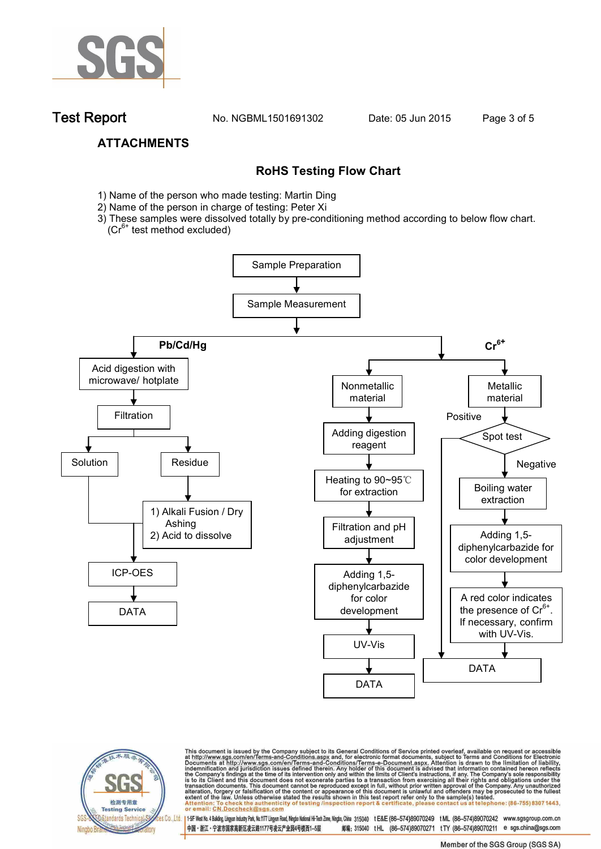

**Test Report. No. NGBML1501691302 Date: 05 Jun 2015. Page 3 of 5.**

## **ATTACHMENTS**

## **RoHS Testing Flow Chart**

- 1) Name of the person who made testing: Martin Ding
- 2) Name of the person in charge of testing: Peter Xi
- 3) These samples were dissolved totally by pre-conditioning method according to below flow chart.  $(Cr^{6+}$  test method excluded)





This document is issued by the Company subject to its General Conditions of Service printed overleaf, available on request or accessible at http://www.sgs.com/en/Terms-and-Conditions.aspx and, for electronic format docume

es Co.,Ltd. | 1+5F West No.4 Bulding Lingun Industy Park, No.1177 Lingun Road, Ningto National Hi-Tech Zone, Ningto, China 315040 tE&E (86-574)89070249 tML (86-574)89070242 www.sgsgroup.com.cn 中国·浙江·宁波市国家高新区凌云路1177号凌云产业园4号楼西1-5层 邮编: 315040 tHL (86-574)89070271 tTY (86-574)89070211 e sgs.china@sgs.com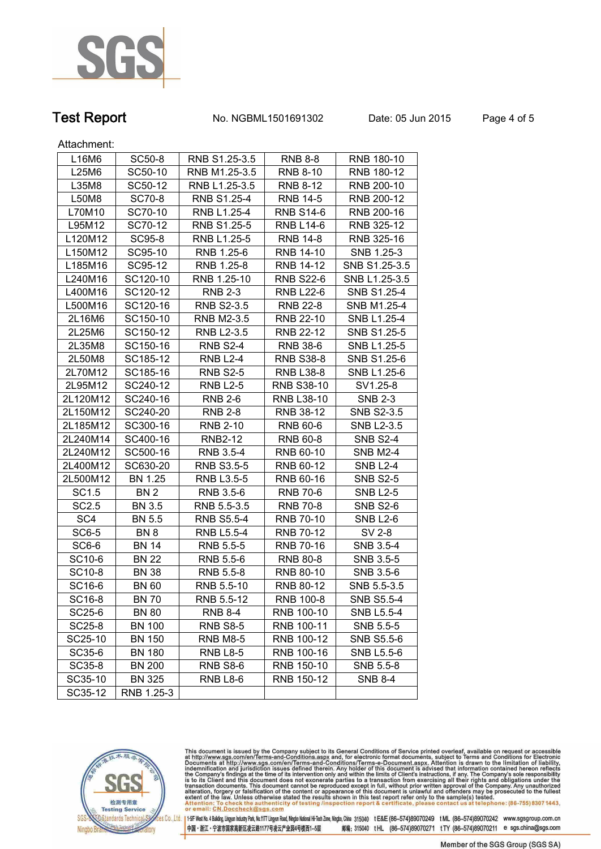

# **Test Report. No. NGBML1501691302 Date: 05 Jun 2015. Page 4 of 5.**

Attachment:

| L16M6              | SC50-8        | RNB S1.25-3.5     | <b>RNB 8-8</b>    | RNB 180-10        |
|--------------------|---------------|-------------------|-------------------|-------------------|
| L25M6              | SC50-10       | RNB M1.25-3.5     | <b>RNB 8-10</b>   | RNB 180-12        |
| L35M8              | SC50-12       | RNB L1.25-3.5     | RNB 8-12          | RNB 200-10        |
| L50M8              | SC70-8        | RNB S1.25-4       | <b>RNB 14-5</b>   | RNB 200-12        |
| L70M10             | SC70-10       | RNB L1.25-4       | <b>RNB S14-6</b>  | RNB 200-16        |
| L95M12             | SC70-12       | RNB S1.25-5       | <b>RNB L14-6</b>  | RNB 325-12        |
| L120M12            | SC95-8        | RNB L1.25-5       | RNB 14-8          | RNB 325-16        |
| L150M12            | SC95-10       | RNB 1.25-6        | RNB 14-10         | SNB 1.25-3        |
| L185M16            | SC95-12       | RNB 1.25-8        | RNB 14-12         | SNB S1.25-3.5     |
| L240M16            | SC120-10      | RNB 1.25-10       | <b>RNB S22-6</b>  | SNB L1.25-3.5     |
| L400M16            | SC120-12      | <b>RNB 2-3</b>    | <b>RNB L22-6</b>  | SNB S1.25-4       |
| L500M16            | SC120-16      | <b>RNB S2-3.5</b> | RNB 22-8          | SNB M1.25-4       |
| 2L16M6             | SC150-10      | RNB M2-3.5        | RNB 22-10         | SNB L1.25-4       |
| 2L25M6             | SC150-12      | RNB L2-3.5        | RNB 22-12         | SNB S1.25-5       |
| 2L35M8             | SC150-16      | <b>RNB S2-4</b>   | RNB 38-6          | SNB L1.25-5       |
| 2L50M8             | SC185-12      | <b>RNB L2-4</b>   | <b>RNB S38-8</b>  | SNB S1.25-6       |
| 2L70M12            | SC185-16      | <b>RNB S2-5</b>   | <b>RNB L38-8</b>  | SNB L1.25-6       |
| 2L95M12            | SC240-12      | <b>RNB L2-5</b>   | <b>RNB S38-10</b> | SV1.25-8          |
| 2L120M12           | SC240-16      | <b>RNB 2-6</b>    | <b>RNB L38-10</b> | <b>SNB 2-3</b>    |
| 2L150M12           | SC240-20      | <b>RNB 2-8</b>    | RNB 38-12         | SNB S2-3.5        |
| 2L185M12           | SC300-16      | <b>RNB 2-10</b>   | RNB 60-6          | SNB L2-3.5        |
| 2L240M14           | SC400-16      | <b>RNB2-12</b>    | RNB 60-8          | <b>SNB S2-4</b>   |
| 2L240M12           | SC500-16      | RNB 3.5-4         | RNB 60-10         | <b>SNB M2-4</b>   |
| 2L400M12           | SC630-20      | <b>RNB S3.5-5</b> | RNB 60-12         | <b>SNB L2-4</b>   |
| 2L500M12           | BN 1.25       | RNB L3.5-5        | RNB 60-16         | <b>SNB S2-5</b>   |
| SC1.5              | BN 2          | RNB 3.5-6         | RNB 70-6          | <b>SNB L2-5</b>   |
| SC2.5              | <b>BN 3.5</b> | RNB 5.5-3.5       | <b>RNB 70-8</b>   | <b>SNB S2-6</b>   |
| SC4                | BN 5.5        | <b>RNB S5.5-4</b> | RNB 70-10         | <b>SNB L2-6</b>   |
| SC6-5              | BN 8          | RNB L5.5-4        | RNB 70-12         | SV 2-8            |
| SC6-6              | <b>BN 14</b>  | RNB 5.5-5         | <b>RNB 70-16</b>  | SNB 3.5-4         |
| SC <sub>10-6</sub> | <b>BN 22</b>  | RNB 5.5-6         | RNB 80-8          | SNB 3.5-5         |
| SC10-8             | <b>BN 38</b>  | RNB 5.5-8         | RNB 80-10         | SNB 3.5-6         |
| SC16-6             | <b>BN 60</b>  | RNB 5.5-10        | RNB 80-12         | SNB 5.5-3.5       |
| SC16-8             | BN 70         | RNB 5.5-12        | RNB 100-8         | <b>SNB S5.5-4</b> |
| SC25-6             | <b>BN 80</b>  | <b>RNB 8-4</b>    | RNB 100-10        | <b>SNB L5.5-4</b> |
| SC25-8             | <b>BN 100</b> | <b>RNB S8-5</b>   | RNB 100-11        | SNB 5.5-5         |
| SC25-10            | <b>BN 150</b> | <b>RNB M8-5</b>   | RNB 100-12        | SNB S5.5-6        |
| SC35-6             | <b>BN 180</b> | <b>RNB L8-5</b>   | RNB 100-16        | SNB L5.5-6        |
| SC35-8             | <b>BN 200</b> | <b>RNB S8-6</b>   | RNB 150-10        | SNB 5.5-8         |
| SC35-10            | <b>BN 325</b> | <b>RNB L8-6</b>   | RNB 150-12        | <b>SNB 8-4</b>    |
| SC35-12            | RNB 1.25-3    |                   |                   |                   |



This document is issued by the Company subject to its General Conditions of Service printed overleaf, available on request or accessible at http://www.sgs.com/en/Terms-and-Conditions.aspx and, for electronic format docume

.<br><mark>28 Co., Ltd. |</mark> 1–5F West No. 4 Bulding, Lingyun Industry Park, No.1177 Lingyun Road, Ningbo National Hi-Tech Zone, Ningbo, China 315040 tE&E (86-574)89070249 tML (86-574)89070242 www.sgsgroup.com.cn 中国·浙江·宁波市国家高新区凌云路1177号凌云产业园4号楼西1-5层 邮编: 315040 tHL (86-574)89070271 tTY (86-574)89070211 e sgs.china@sgs.com